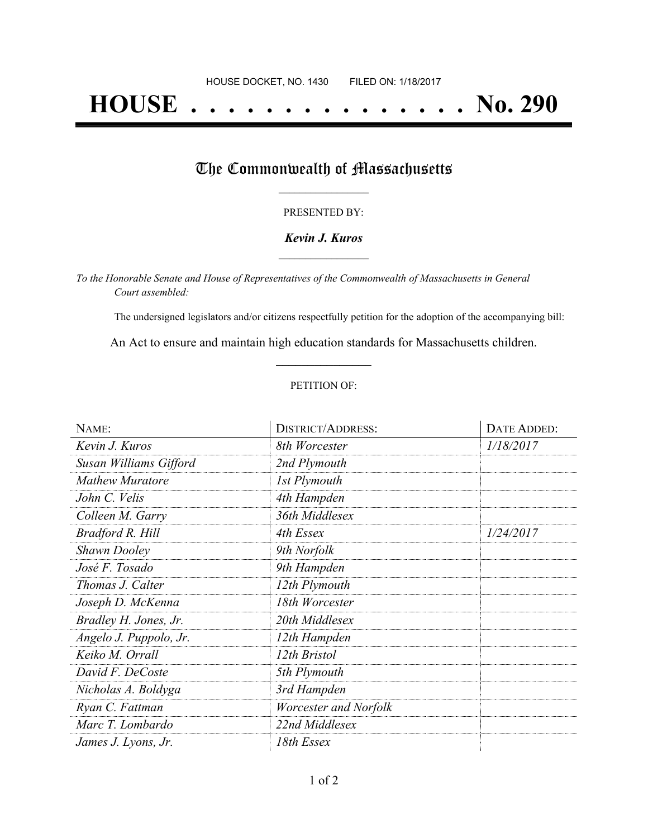# **HOUSE . . . . . . . . . . . . . . . No. 290**

### The Commonwealth of Massachusetts

#### PRESENTED BY:

#### *Kevin J. Kuros* **\_\_\_\_\_\_\_\_\_\_\_\_\_\_\_\_\_**

*To the Honorable Senate and House of Representatives of the Commonwealth of Massachusetts in General Court assembled:*

The undersigned legislators and/or citizens respectfully petition for the adoption of the accompanying bill:

An Act to ensure and maintain high education standards for Massachusetts children. **\_\_\_\_\_\_\_\_\_\_\_\_\_\_\_**

#### PETITION OF:

| NAME:                  | <b>DISTRICT/ADDRESS:</b> | DATE ADDED: |
|------------------------|--------------------------|-------------|
| Kevin J. Kuros         | 8th Worcester            | 1/18/2017   |
| Susan Williams Gifford | 2nd Plymouth             |             |
| <b>Mathew Muratore</b> | 1st Plymouth             |             |
| John C. Velis          | 4th Hampden              |             |
| Colleen M. Garry       | 36th Middlesex           |             |
| Bradford R. Hill       | 4th Essex                | 1/24/2017   |
| <b>Shawn Dooley</b>    | 9th Norfolk              |             |
| José F. Tosado         | 9th Hampden              |             |
| Thomas J. Calter       | 12th Plymouth            |             |
| Joseph D. McKenna      | 18th Worcester           |             |
| Bradley H. Jones, Jr.  | 20th Middlesex           |             |
| Angelo J. Puppolo, Jr. | 12th Hampden             |             |
| Keiko M. Orrall        | 12th Bristol             |             |
| David F. DeCoste       | 5th Plymouth             |             |
| Nicholas A. Boldyga    | 3rd Hampden              |             |
| Ryan C. Fattman        | Worcester and Norfolk    |             |
| Marc T. Lombardo       | 22nd Middlesex           |             |
| James J. Lyons, Jr.    | 18th Essex               |             |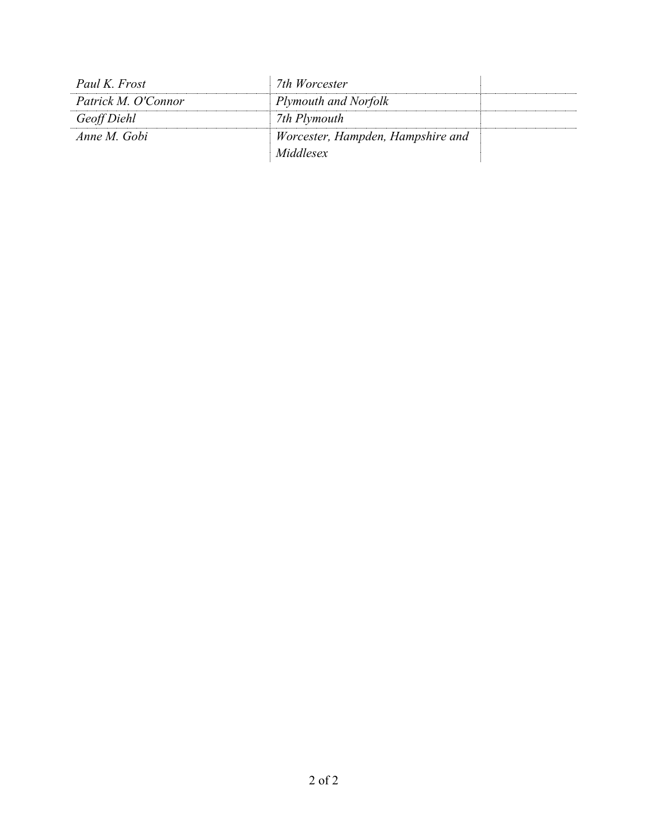| Paul K. Frost       | 7th Worcester                     |  |
|---------------------|-----------------------------------|--|
| Patrick M. O'Connor | Plymouth and Norfolk              |  |
| Geoff Diehl         | 7th Plymouth                      |  |
| Anne M. Gobi        | Worcester, Hampden, Hampshire and |  |
|                     | Middlesex                         |  |
|                     |                                   |  |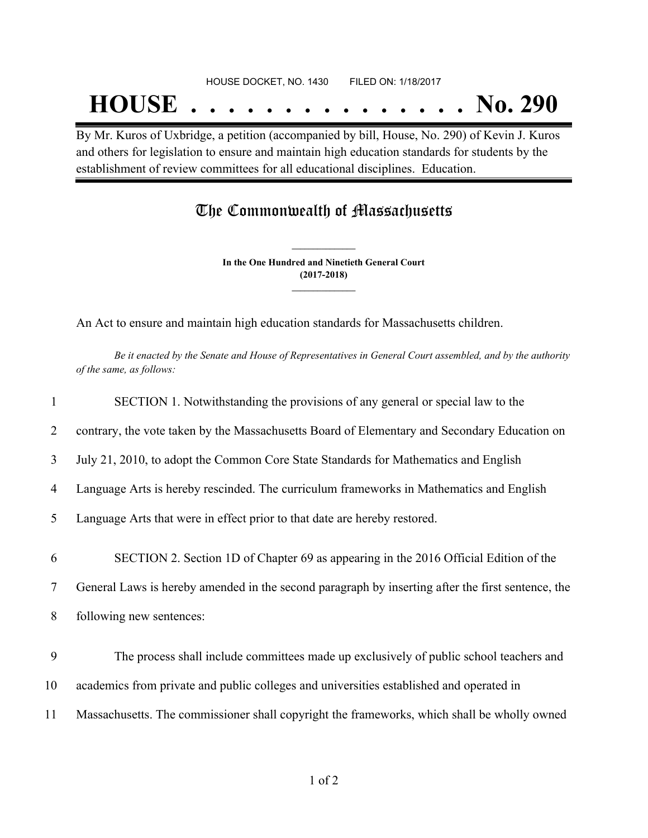# HOUSE DOCKET, NO. 1430 FILED ON: 1/18/2017 **HOUSE . . . . . . . . . . . . . . . No. 290**

By Mr. Kuros of Uxbridge, a petition (accompanied by bill, House, No. 290) of Kevin J. Kuros and others for legislation to ensure and maintain high education standards for students by the establishment of review committees for all educational disciplines. Education.

## The Commonwealth of Massachusetts

**In the One Hundred and Ninetieth General Court (2017-2018) \_\_\_\_\_\_\_\_\_\_\_\_\_\_\_**

**\_\_\_\_\_\_\_\_\_\_\_\_\_\_\_**

An Act to ensure and maintain high education standards for Massachusetts children.

Be it enacted by the Senate and House of Representatives in General Court assembled, and by the authority *of the same, as follows:*

| $\mathbf{1}$   | SECTION 1. Notwithstanding the provisions of any general or special law to the                    |
|----------------|---------------------------------------------------------------------------------------------------|
| 2              | contrary, the vote taken by the Massachusetts Board of Elementary and Secondary Education on      |
| 3              | July 21, 2010, to adopt the Common Core State Standards for Mathematics and English               |
| 4              | Language Arts is hereby rescinded. The curriculum frameworks in Mathematics and English           |
| 5              | Language Arts that were in effect prior to that date are hereby restored.                         |
| 6              | SECTION 2. Section 1D of Chapter 69 as appearing in the 2016 Official Edition of the              |
| $\overline{7}$ | General Laws is hereby amended in the second paragraph by inserting after the first sentence, the |
| 8              | following new sentences:                                                                          |
| 9              | The process shall include committees made up exclusively of public school teachers and            |
| 10             | academics from private and public colleges and universities established and operated in           |
| 11             | Massachusetts. The commissioner shall copyright the frameworks, which shall be wholly owned       |
|                |                                                                                                   |